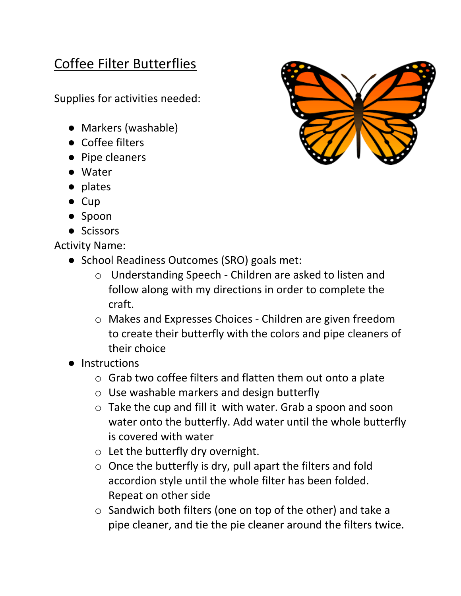## Coffee Filter Butterflies

Supplies for activities needed:

- Markers (washable)
- Coffee filters
- Pipe cleaners
- Water
- plates
- Cup
- Spoon
- Scissors

Activity Name:

- School Readiness Outcomes (SRO) goals met:
	- o Understanding Speech Children are asked to listen and follow along with my directions in order to complete the craft.
	- o Makes and Expresses Choices Children are given freedom to create their butterfly with the colors and pipe cleaners of their choice
- Instructions
	- o Grab two coffee filters and flatten them out onto a plate
	- o Use washable markers and design butterfly
	- o Take the cup and fill it with water. Grab a spoon and soon water onto the butterfly. Add water until the whole butterfly is covered with water
	- $\circ$  Let the butterfly dry overnight.
	- o Once the butterfly is dry, pull apart the filters and fold accordion style until the whole filter has been folded. Repeat on other side
	- o Sandwich both filters (one on top of the other) and take a pipe cleaner, and tie the pie cleaner around the filters twice.